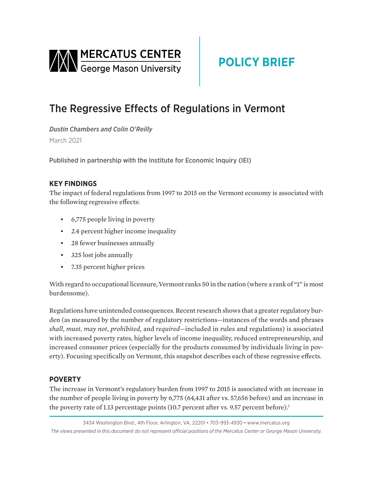<span id="page-0-0"></span>

# **POLICY BRIEF**

## The Regressive Effects of Regulations in Vermont

*Dustin Chambers and Colin O'Reilly* March 2021

Published in partnership with the Institute for Economic Inquiry (IEI)

## **KEY FINDINGS**

The impact of federal regulations from 1997 to 2015 on the Vermont economy is associated with the following regressive effects:

- 6,775 people living in poverty
- 2.4 percent higher income inequality
- 28 fewer businesses annually
- 325 lost jobs annually
- 7.35 percent higher prices

With regard to occupational licensure, Vermont ranks 50 in the nation (where a rank of "1" is most burdensome).

Regulations have unintended consequences. Recent research shows that a greater regulatory burden (as measured by the number of regulatory restrictions—instances of the words and phrases *shall*, *must*, *may not*, *prohibited,* and *required*—included in rules and regulations) is associated with increased poverty rates, higher levels of income inequality, reduced entrepreneurship, and increased consumer prices (especially for the products consumed by individuals living in poverty). Focusing specifically on Vermont, this snapshot describes each of these regressive effects.

## **POVERTY**

The increase in Vermont's regulatory burden from 1997 to 2015 is associated with an increase in the number of people living in poverty by 6,775 (64,431 after vs. 57,656 before) and an increase in the poverty rate of 1[.1](#page-3-0)3 percentage points (10.7 percent after vs. 9.57 percent before).<sup>1</sup>

3434 Washington Blvd., 4th Floor, Arlington, VA, 22201 • 703-993-4930 • www.mercatus.org *The views presented in this document do not represent official positions of the Mercatus Center or George Mason University.*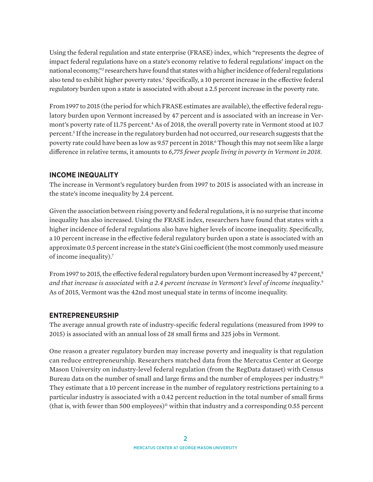<span id="page-1-0"></span>Using the federal regulation and state enterprise (FRASE) index, which "represents the degree of impact federal regulations have on a state's economy relative to federal regulations' impact on the national economy,["2](#page-3-0) researchers have found that states with a higher incidence of federal regulations also tend to exhibit higher poverty rates.<sup>3</sup> Specifically, a 10 percent increase in the effective federal regulatory burden upon a state is associated with about a 2.5 percent increase in the poverty rate.

From 1997 to 2015 (the period for which FRASE estimates are available), the effective federal regulatory burden upon Vermont increased by 47 percent and is associated with an increase in Vermont's poverty rate of 11.75 percent.<sup>4</sup> As of 2018, the overall poverty rate in Vermont stood at 10.7 percent.[5](#page-4-0) If the increase in the regulatory burden had not occurred, our research suggests that the poverty rate could have been as low as 9.57 percent in 2018[.6](#page-4-0) Though this may not seem like a large difference in relative terms, it amounts to *6,775 fewer people living in poverty in Vermont in 2018*.

#### **INCOME INEQUALITY**

The increase in Vermont's regulatory burden from 1997 to 2015 is associated with an increase in the state's income inequality by 2.4 percent.

Given the association between rising poverty and federal regulations, it is no surprise that income inequality has also increased. Using the FRASE index, researchers have found that states with a higher incidence of federal regulations also have higher levels of income inequality. Specifically, a 10 percent increase in the effective federal regulatory burden upon a state is associated with an approximate 0.5 percent increase in the state's Gini coefficient (the most commonly used measure of income inequality).[7](#page-4-0)

From 1997 to 2015, the effective federal regulatory burden upon Vermont increased by 47 percent,<sup>[8](#page-4-0)</sup> *and that increase is associated with a 2.4 percent increase in Vermont's level of income inequality*. [9](#page-4-0) As of 2015, Vermont was the 42nd most unequal state in terms of income inequality.

#### **ENTREPRENEURSHIP**

The average annual growth rate of industry-specific federal regulations (measured from 1999 to 2015) is associated with an annual loss of 28 small firms and 325 jobs in Vermont.

One reason a greater regulatory burden may increase poverty and inequality is that regulation can reduce entrepreneurship. Researchers matched data from the Mercatus Center at George Mason University on industry-level federal regulation (from the RegData dataset) with Census Bureau data on the number of small and large firms and the number of employees per industry.<sup>[10](#page-4-0)</sup> They estimate that a 10 percent increase in the number of regulatory restrictions pertaining to a particular industry is associated with a 0.42 percent reduction in the total number of small firms (that is, with fewer than 500 employees)<sup>11</sup> within that industry and a corresponding 0.55 percent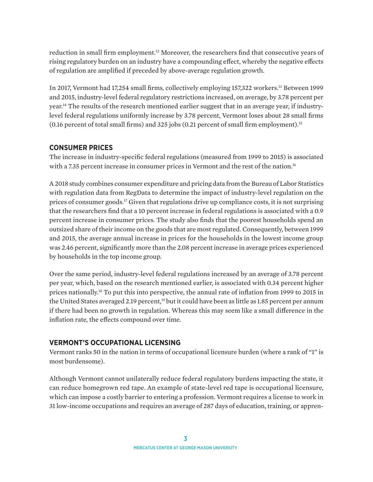<span id="page-2-0"></span>reduction in small firm employment.[12](#page-4-0) Moreover, the researchers find that consecutive years of rising regulatory burden on an industry have a compounding effect, whereby the negative effects of regulation are amplified if preceded by above-average regulation growth.

In 2017, Vermont had 17,254 small firms, collectively employing 157,322 workers[.13](#page-4-0) Between 1999 and 2015, industry-level federal regulatory restrictions increased, on average, by 3.78 percent per year[.14](#page-4-0) The results of the research mentioned earlier suggest that in an average year, if industrylevel federal regulations uniformly increase by 3.78 percent, Vermont loses about 28 small firms (0.16 percent of total small firms) and 325 jobs (0.21 percent of small firm employment)[.15](#page-4-0)

## **CONSUMER PRICES**

The increase in industry-specific federal regulations (measured from 1999 to 2015) is associated with a 7.35 percent increase in consumer prices in Vermont and the rest of the nation.<sup>16</sup>

A 2018 study combines consumer expenditure and pricing data from the Bureau of Labor Statistics with regulation data from RegData to determine the impact of industry-level regulation on the prices of consumer goods[.17](#page-4-0) Given that regulations drive up compliance costs, it is not surprising that the researchers find that a 10 percent increase in federal regulations is associated with a 0.9 percent increase in consumer prices. The study also finds that the poorest households spend an outsized share of their income on the goods that are most regulated. Consequently, between 1999 and 2015, the average annual increase in prices for the households in the lowest income group was 2.46 percent, significantly more than the 2.08 percent increase in average prices experienced by households in the top income group.

Over the same period, industry-level federal regulations increased by an average of 3.78 percent per year, which, based on the research mentioned earlier, is associated with 0.34 percent higher prices nationally.[18](#page-4-0) To put this into perspective, the annual rate of inflation from 1999 to 2015 in the United States averaged 2.19 percent,<sup>19</sup> but it could have been as little as 1.85 percent per annum if there had been no growth in regulation. Whereas this may seem like a small difference in the inflation rate, the effects compound over time.

## **VERMONT'S OCCUPATIONAL LICENSING**

Vermont ranks 50 in the nation in terms of occupational licensure burden (where a rank of "1" is most burdensome).

Although Vermont cannot unilaterally reduce federal regulatory burdens impacting the state, it can reduce homegrown red tape. An example of state-level red tape is occupational licensure, which can impose a costly barrier to entering a profession. Vermont requires a license to work in 31 low-income occupations and requires an average of 287 days of education, training, or appren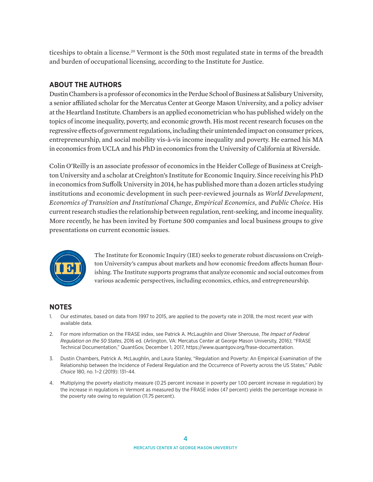<span id="page-3-0"></span>ticeships to obtain a license.<sup>20</sup> Vermont is the 50th most regulated state in terms of the breadth and burden of occupational licensing, according to the Institute for Justice.

## **ABOUT THE AUTHORS**

Dustin Chambers is a professor of economics in the Perdue School of Business at Salisbury University, a senior affiliated scholar for the Mercatus Center at George Mason University, and a policy adviser at the Heartland Institute. Chambers is an applied econometrician who has published widely on the topics of income inequality, poverty, and economic growth. His most recent research focuses on the regressive effects of government regulations, including their unintended impact on consumer prices, entrepreneurship, and social mobility vis-à-vis income inequality and poverty. He earned his MA in economics from UCLA and his PhD in economics from the University of California at Riverside.

Colin O'Reilly is an associate professor of economics in the Heider College of Business at Creighton University and a scholar at Creighton's Institute for Economic Inquiry. Since receiving his PhD in economics from Suffolk University in 2014, he has published more than a dozen articles studying institutions and economic development in such peer-reviewed journals as *World Development*, *Economics of Transition and Institutional Change*, *Empirical Economics*, and *Public Choice*. His current research studies the relationship between regulation, rent-seeking, and income inequality. More recently, he has been invited by Fortune 500 companies and local business groups to give presentations on current economic issues.



The Institute for Economic Inquiry (IEI) seeks to generate robust discussions on Creighton University's campus about markets and how economic freedom affects human flourishing. The Institute supports programs that analyze economic and social outcomes from various academic perspectives, including economics, ethics, and entrepreneurship.

## **NOTES**

- [1.](#page-0-0) Our estimates, based on data from 1997 to 2015, are applied to the poverty rate in 2018, the most recent year with available data.
- [2.](#page-1-0) For more information on the FRASE index, see Patrick A. McLaughlin and Oliver Sherouse, *The Impact of Federal Regulation on the 50 States*, 2016 ed. (Arlington, VA: Mercatus Center at George Mason University, 2016); "FRASE Technical Documentation," QuantGov, December 1, 2017, [https://www.quantgov.org/frase-documentation.](https://www.quantgov.org/frase-documentation)
- [3.](#page-1-0) Dustin Chambers, Patrick A. McLaughlin, and Laura Stanley, "Regulation and Poverty: An Empirical Examination of the Relationship between the Incidence of Federal Regulation and the Occurrence of Poverty across the US States," *Public Choice* 180, no. 1–2 (2019): 131–44.
- [4](#page-1-0). Multiplying the poverty elasticity measure (0.25 percent increase in poverty per 1.00 percent increase in regulation) by the increase in regulations in Vermont as measured by the FRASE index (47 percent) yields the percentage increase in the poverty rate owing to regulation (11.75 percent).